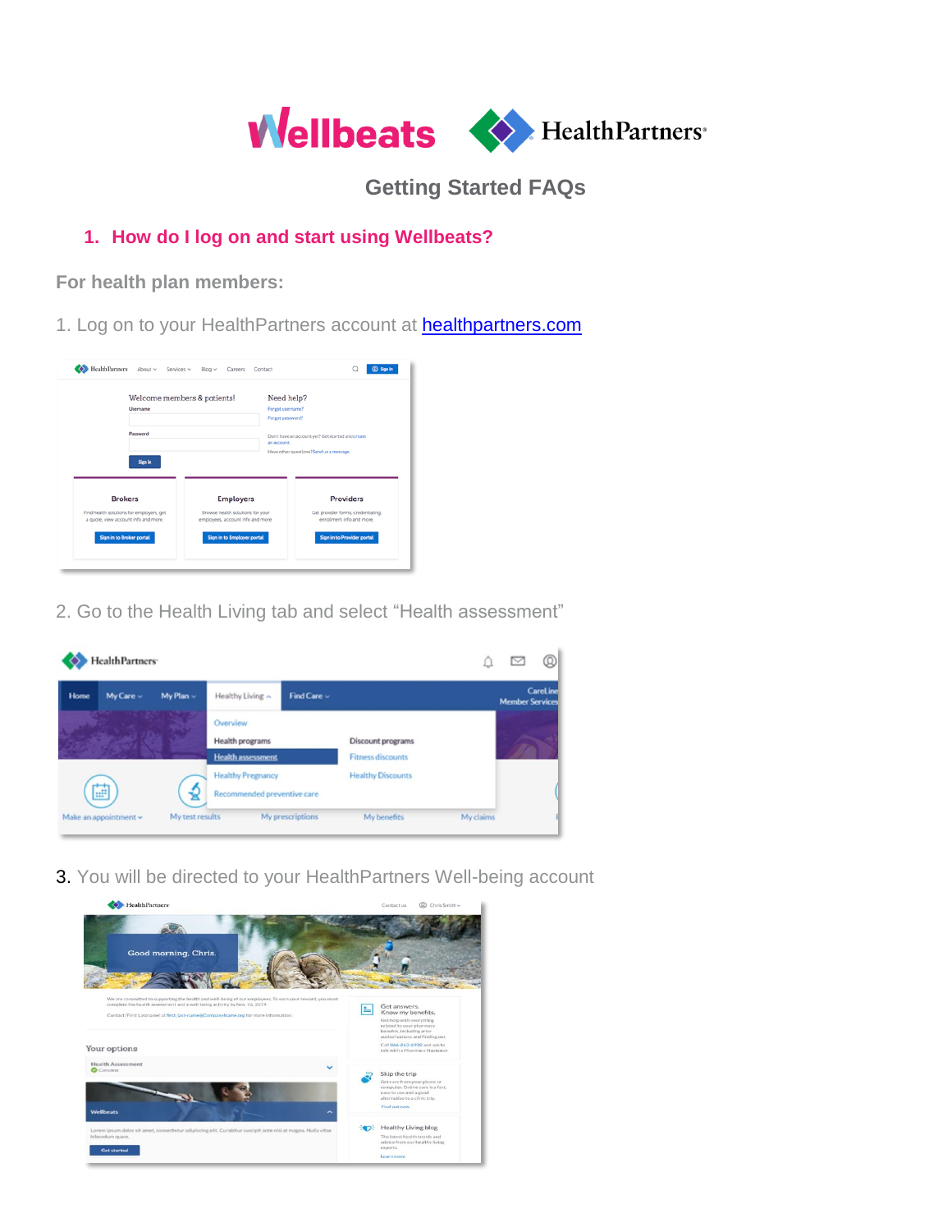

**Getting Started FAQs**

# **1. How do I log on and start using Wellbeats?**

**For health plan members:**

1. Log on to your HealthPartners account at **[healthpartners.com](https://www.healthpartners.com/)** 

| Username                                                                                           | Welcome members & patients!                                                               | Need help?<br>Forgot username?<br>Forgot password?                                                           |
|----------------------------------------------------------------------------------------------------|-------------------------------------------------------------------------------------------|--------------------------------------------------------------------------------------------------------------|
| Password<br>Sign in                                                                                |                                                                                           | Don't have an account yet? Get started and create<br>an account.<br>Have other questions? Send us a message. |
|                                                                                                    |                                                                                           |                                                                                                              |
| <b>Brokers</b><br>Find health solutions for employers, get<br>a quote, view account info and more. | <b>Employers</b><br>Browse health solutions for your<br>employees, account info and more. | Providers<br>Get provider forms, credentialing,<br>enrollment info and more.                                 |

2. Go to the Health Living tab and select "Health assessment"



3. You will be directed to your HealthPartners Well-being account

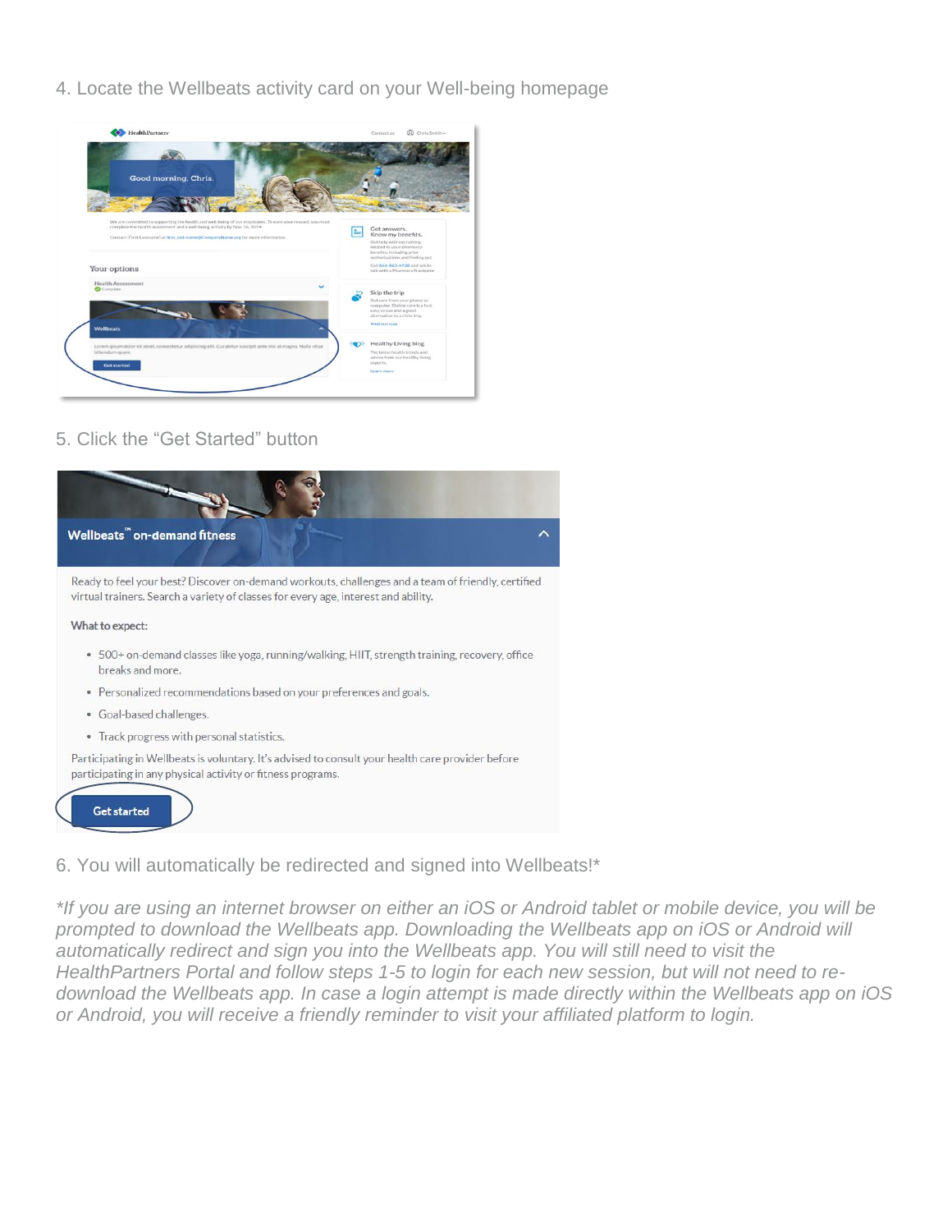4. Locate the Wellbeats activity card on your Well-being homepage



### 5. Click the "Get Started" button



#### 6. You will automatically be redirected and signed into Wellbeats!\*

*\*If you are using an internet browser on either an iOS or Android tablet or mobile device, you will be prompted to download the Wellbeats app. Downloading the Wellbeats app on iOS or Android will automatically redirect and sign you into the Wellbeats app. You will still need to visit the HealthPartners Portal and follow steps 1-5 to login for each new session, but will not need to redownload the Wellbeats app. In case a login attempt is made directly within the Wellbeats app on iOS or Android, you will receive a friendly reminder to visit your affiliated platform to login.*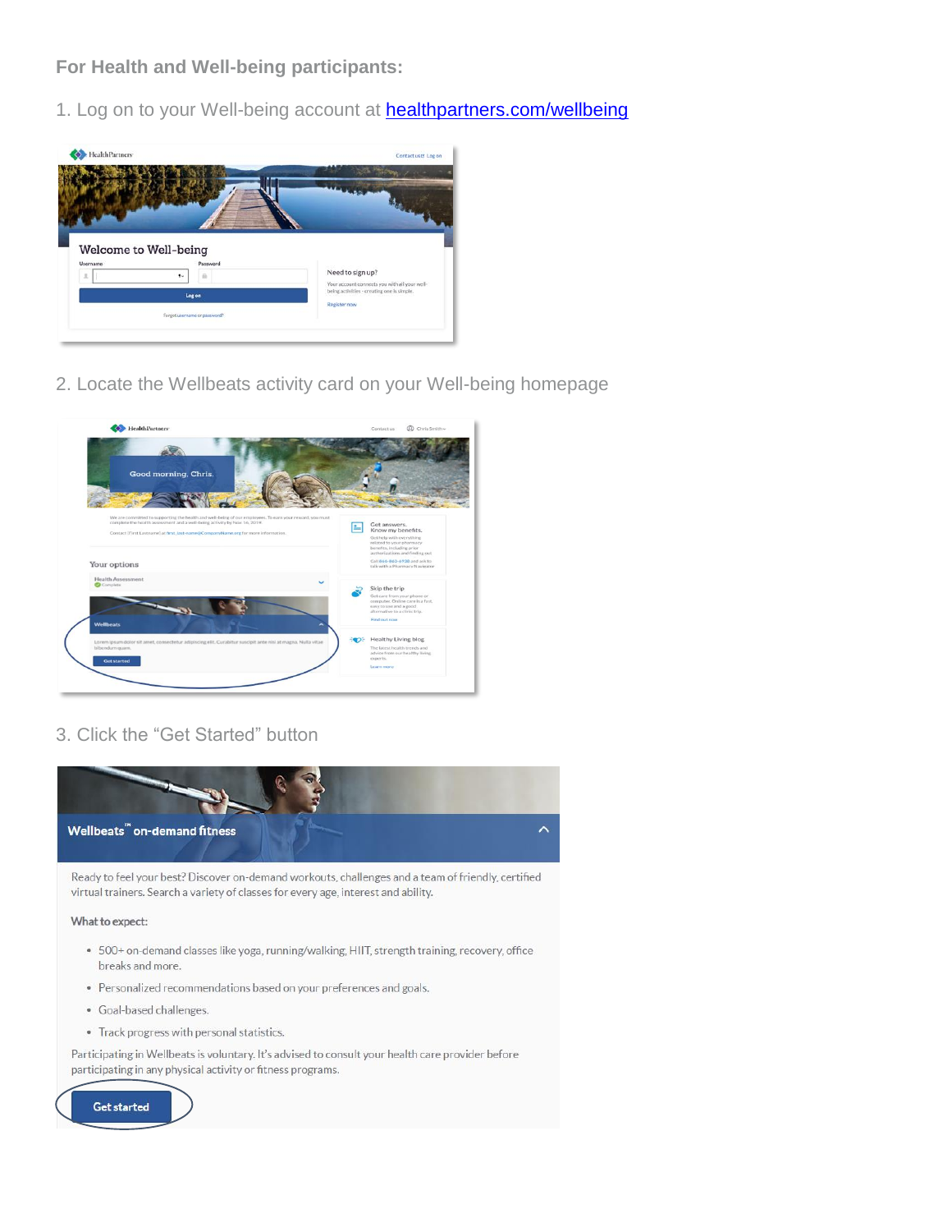**For Health and Well-being participants:** 

1. Log on to your Well-being account at **healthpartners.com/wellbeing** 



2. Locate the Wellbeats activity card on your Well-being homepage



## 3. Click the "Get Started" button



Ready to feel your best? Discover on-demand workouts, challenges and a team of friendly, certified virtual trainers. Search a variety of classes for every age, interest and ability.

What to expect:

- 500+ on-demand classes like yoga, running/walking, HIIT, strength training, recovery, office breaks and more.
- Personalized recommendations based on your preferences and goals.
- · Goal-based challenges.
- Track progress with personal statistics.

Participating in Wellbeats is voluntary. It's advised to consult your health care provider before participating in any physical activity or fitness programs.

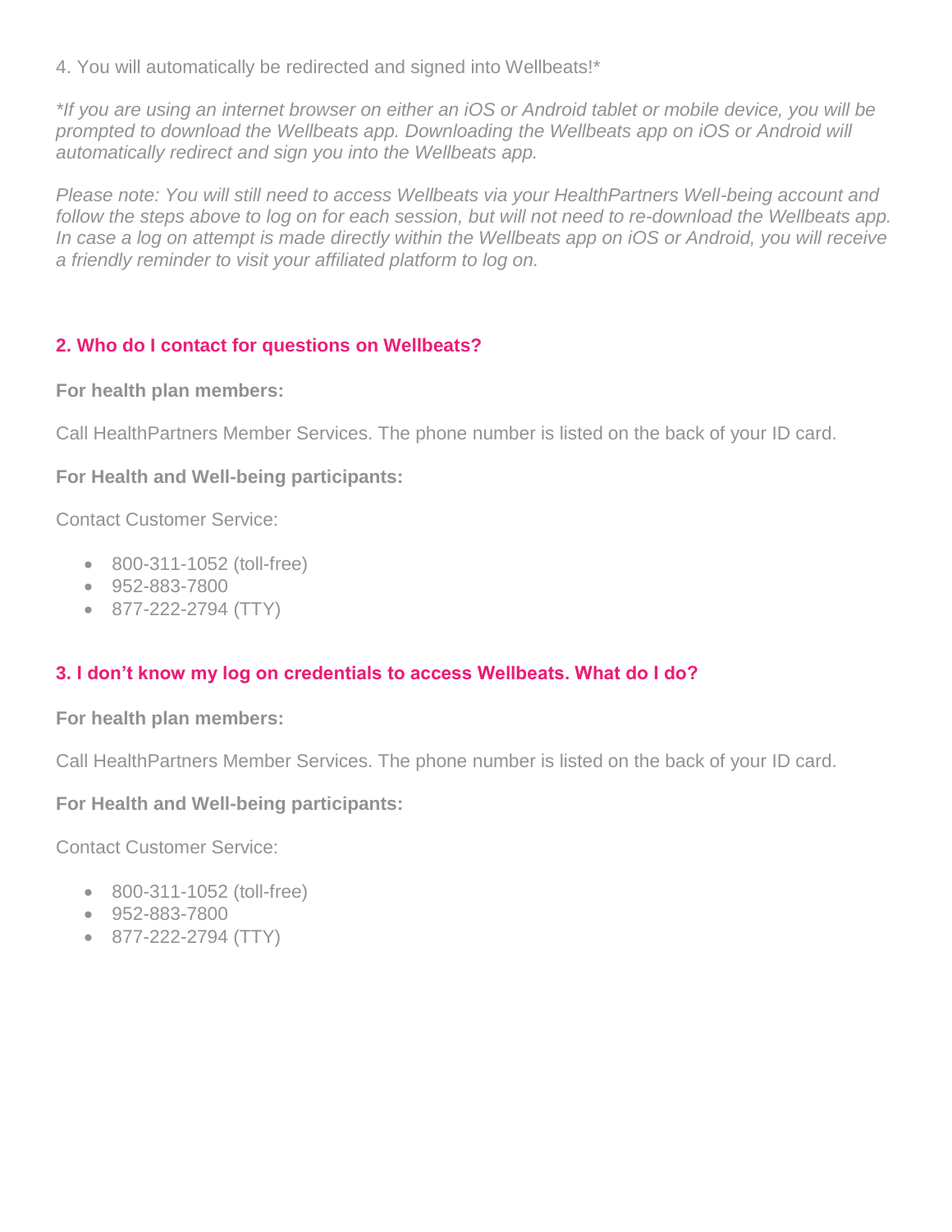4. You will automatically be redirected and signed into Wellbeats!\*

*\*If you are using an internet browser on either an iOS or Android tablet or mobile device, you will be prompted to download the Wellbeats app. Downloading the Wellbeats app on iOS or Android will automatically redirect and sign you into the Wellbeats app.* 

*Please note: You will still need to access Wellbeats via your HealthPartners Well-being account and*  follow the steps above to log on for each session, but will not need to re-download the Wellbeats app. *In case a log on attempt is made directly within the Wellbeats app on iOS or Android, you will receive a friendly reminder to visit your affiliated platform to log on.*

## **2. Who do I contact for questions on Wellbeats?**

**For health plan members:**

Call HealthPartners Member Services. The phone number is listed on the back of your ID card.

## **For Health and Well-being participants:**

Contact Customer Service:

- 800-311-1052 (toll-free)
- 952-883-7800
- 877-222-2794 (TTY)

# **3. I don't know my log on credentials to access Wellbeats. What do I do?**

**For health plan members:**

Call HealthPartners Member Services. The phone number is listed on the back of your ID card.

## **For Health and Well-being participants:**

Contact Customer Service:

- 800-311-1052 (toll-free)
- 952-883-7800
- 877-222-2794 (TTY)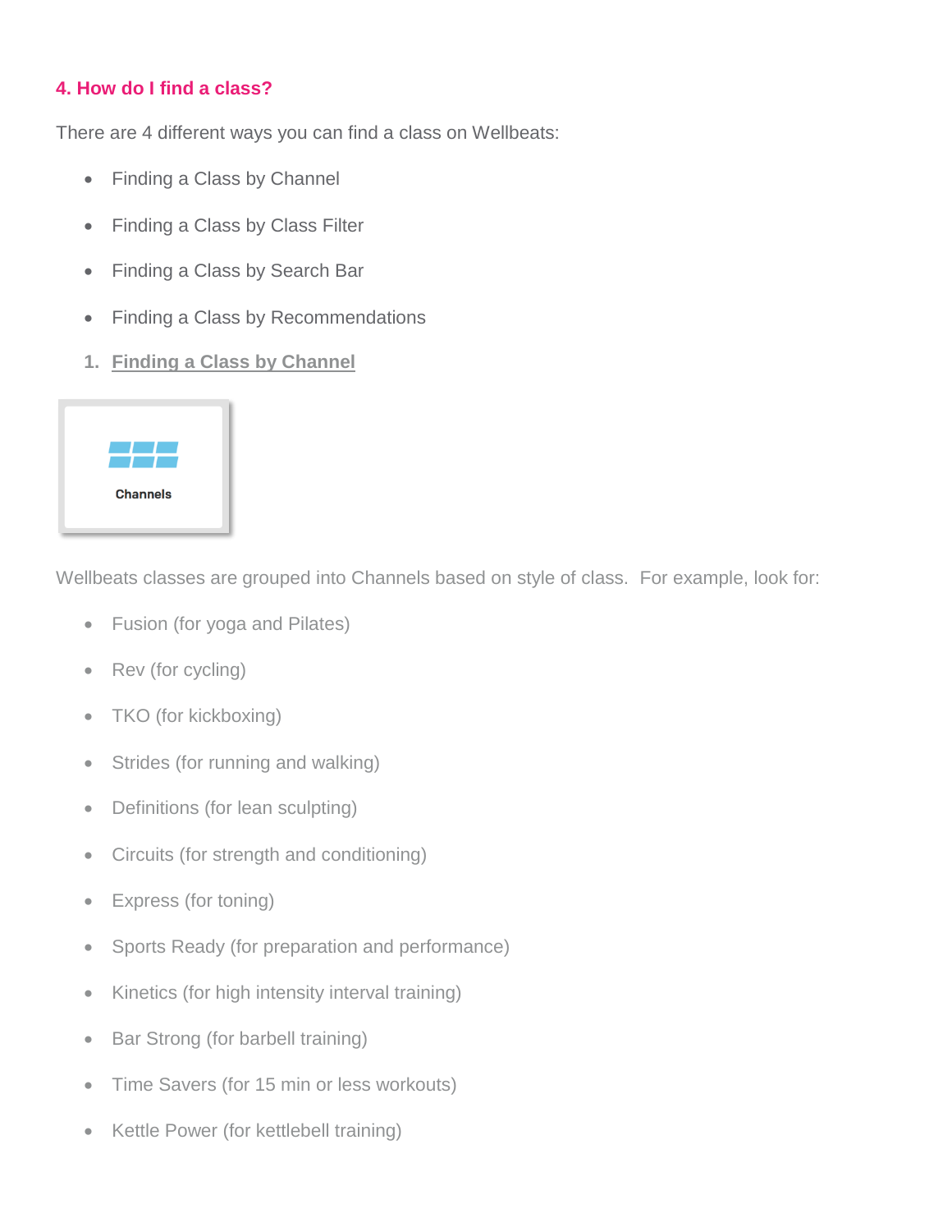## **4. How do I find a class?**

There are 4 different ways you can find a class on Wellbeats:

- Finding a Class by Channel
- Finding a Class by Class Filter
- Finding a Class by Search Bar
- Finding a Class by Recommendations
- **1. Finding a Class by Channel**



Wellbeats classes are grouped into Channels based on style of class. For example, look for:

- Fusion (for yoga and Pilates)
- Rev (for cycling)
- TKO (for kickboxing)
- Strides (for running and walking)
- Definitions (for lean sculpting)
- Circuits (for strength and conditioning)
- Express (for toning)
- Sports Ready (for preparation and performance)
- Kinetics (for high intensity interval training)
- Bar Strong (for barbell training)
- Time Savers (for 15 min or less workouts)
- Kettle Power (for kettlebell training)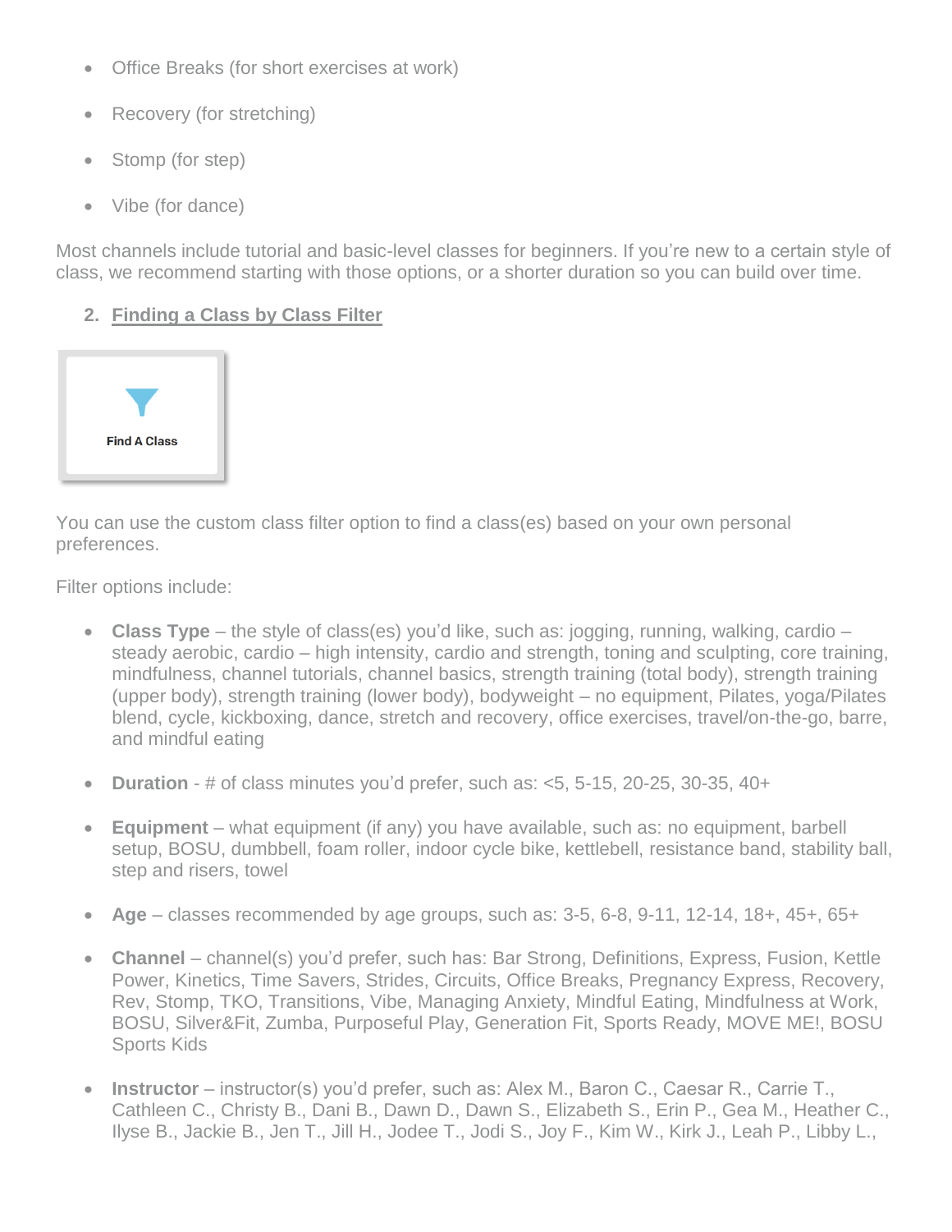- Office Breaks (for short exercises at work)
- Recovery (for stretching)
- Stomp (for step)
- Vibe (for dance)

Most channels include tutorial and basic-level classes for beginners. If you're new to a certain style of class, we recommend starting with those options, or a shorter duration so you can build over time.

# **2. Finding a Class by Class Filter**



You can use the custom class filter option to find a class(es) based on your own personal preferences.

Filter options include:

- **Class Type** the style of class(es) you'd like, such as: jogging, running, walking, cardio steady aerobic, cardio – high intensity, cardio and strength, toning and sculpting, core training, mindfulness, channel tutorials, channel basics, strength training (total body), strength training (upper body), strength training (lower body), bodyweight – no equipment, Pilates, yoga/Pilates blend, cycle, kickboxing, dance, stretch and recovery, office exercises, travel/on-the-go, barre, and mindful eating
- **Duration** # of class minutes you'd prefer, such as: <5, 5-15, 20-25, 30-35, 40+
- **Equipment** what equipment (if any) you have available, such as: no equipment, barbell setup, BOSU, dumbbell, foam roller, indoor cycle bike, kettlebell, resistance band, stability ball, step and risers, towel
- **Age** classes recommended by age groups, such as: 3-5, 6-8, 9-11, 12-14, 18+, 45+, 65+
- **Channel**  channel(s) you'd prefer, such has: Bar Strong, Definitions, Express, Fusion, Kettle Power, Kinetics, Time Savers, Strides, Circuits, Office Breaks, Pregnancy Express, Recovery, Rev, Stomp, TKO, Transitions, Vibe, Managing Anxiety, Mindful Eating, Mindfulness at Work, BOSU, Silver&Fit, Zumba, Purposeful Play, Generation Fit, Sports Ready, MOVE ME!, BOSU Sports Kids
- **Instructor**  instructor(s) you'd prefer, such as: Alex M., Baron C., Caesar R., Carrie T., Cathleen C., Christy B., Dani B., Dawn D., Dawn S., Elizabeth S., Erin P., Gea M., Heather C., Ilyse B., Jackie B., Jen T., Jill H., Jodee T., Jodi S., Joy F., Kim W., Kirk J., Leah P., Libby L.,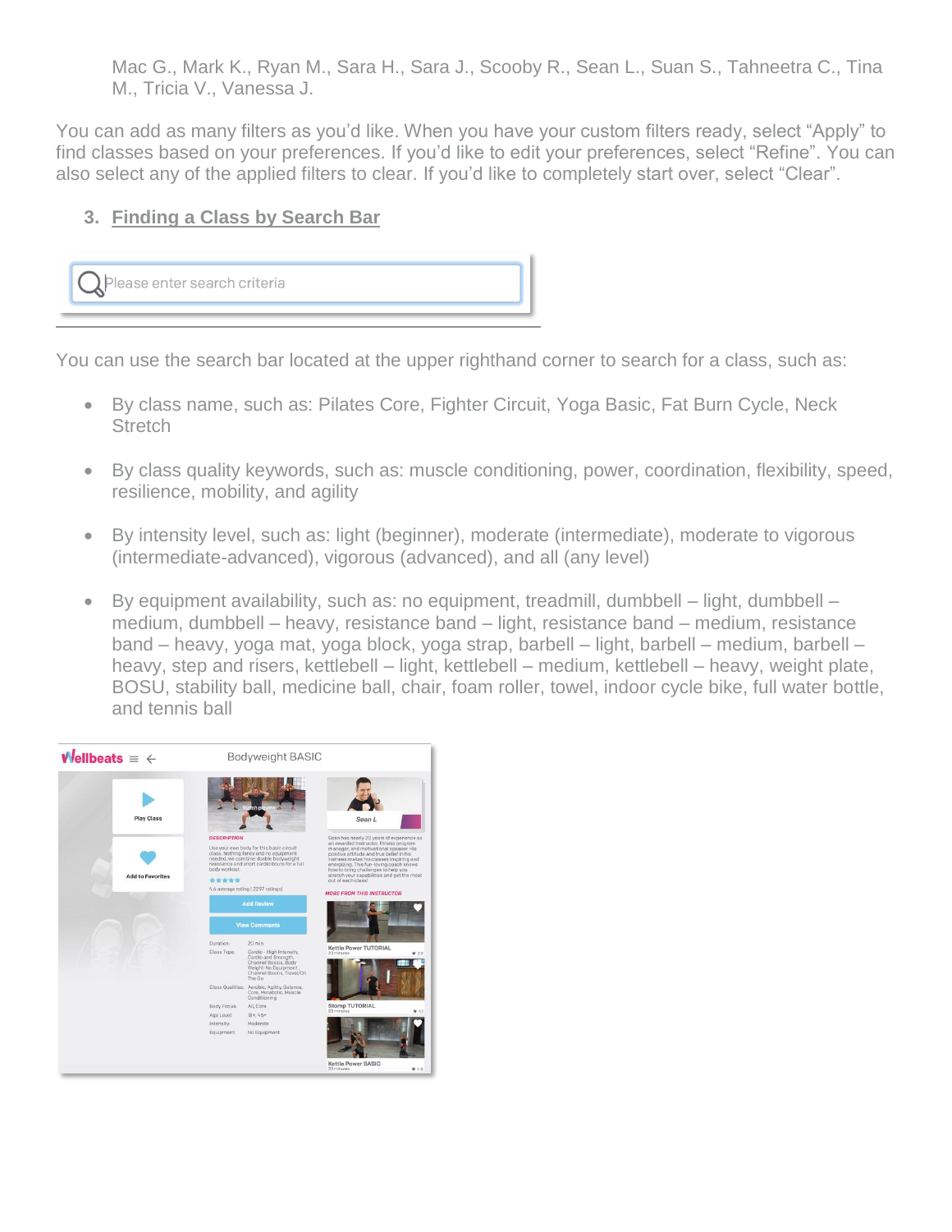Mac G., Mark K., Ryan M., Sara H., Sara J., Scooby R., Sean L., Suan S., Tahneetra C., Tina M., Tricia V., Vanessa J.

You can add as many filters as you'd like. When you have your custom filters ready, select "Apply" to find classes based on your preferences. If you'd like to edit your preferences, select "Refine". You can also select any of the applied filters to clear. If you'd like to completely start over, select "Clear".

## **3. Finding a Class by Search Bar**



You can use the search bar located at the upper righthand corner to search for a class, such as:

- By class name, such as: Pilates Core, Fighter Circuit, Yoga Basic, Fat Burn Cycle, Neck **Stretch**
- By class quality keywords, such as: muscle conditioning, power, coordination, flexibility, speed, resilience, mobility, and agility
- By intensity level, such as: light (beginner), moderate (intermediate), moderate to vigorous (intermediate-advanced), vigorous (advanced), and all (any level)
- By equipment availability, such as: no equipment, treadmill, dumbbell light, dumbbell medium, dumbbell – heavy, resistance band – light, resistance band – medium, resistance band – heavy, yoga mat, yoga block, yoga strap, barbell – light, barbell – medium, barbell – heavy, step and risers, kettlebell – light, kettlebell – medium, kettlebell – heavy, weight plate, BOSU, stability ball, medicine ball, chair, foam roller, towel, indoor cycle bike, full water bottle, and tennis ball

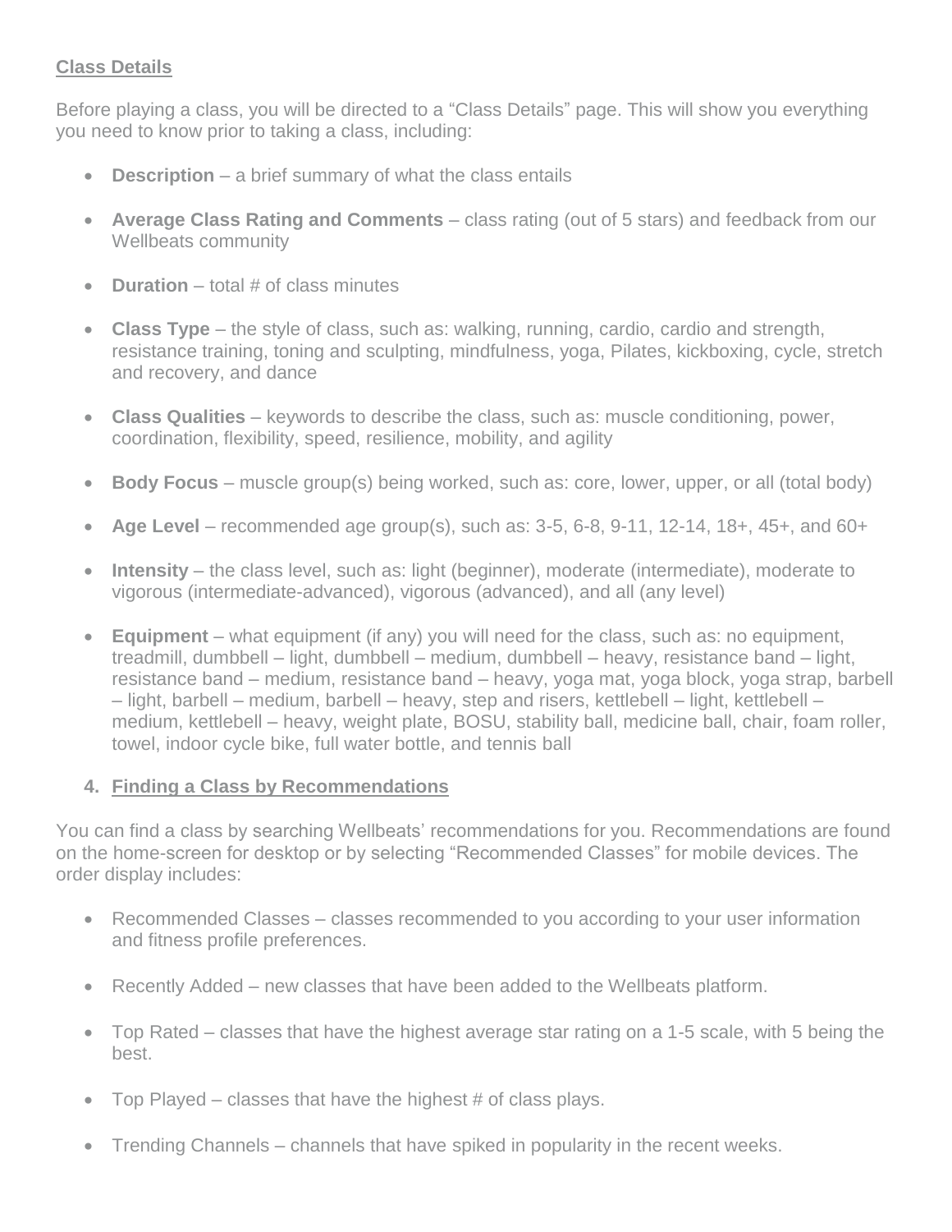## **Class Details**

Before playing a class, you will be directed to a "Class Details" page. This will show you everything you need to know prior to taking a class, including:

- **Description** a brief summary of what the class entails
- **Average Class Rating and Comments** class rating (out of 5 stars) and feedback from our Wellbeats community
- **Duration** total # of class minutes
- **Class Type** the style of class, such as: walking, running, cardio, cardio and strength, resistance training, toning and sculpting, mindfulness, yoga, Pilates, kickboxing, cycle, stretch and recovery, and dance
- **Class Qualities** keywords to describe the class, such as: muscle conditioning, power, coordination, flexibility, speed, resilience, mobility, and agility
- **Body Focus** muscle group(s) being worked, such as: core, lower, upper, or all (total body)
- Age Level recommended age group(s), such as: 3-5, 6-8, 9-11, 12-14, 18+, 45+, and 60+
- **Intensity** the class level, such as: light (beginner), moderate (intermediate), moderate to vigorous (intermediate-advanced), vigorous (advanced), and all (any level)
- **Equipment** what equipment (if any) you will need for the class, such as: no equipment, treadmill, dumbbell – light, dumbbell – medium, dumbbell – heavy, resistance band – light, resistance band – medium, resistance band – heavy, yoga mat, yoga block, yoga strap, barbell – light, barbell – medium, barbell – heavy, step and risers, kettlebell – light, kettlebell – medium, kettlebell – heavy, weight plate, BOSU, stability ball, medicine ball, chair, foam roller, towel, indoor cycle bike, full water bottle, and tennis ball

#### **4. Finding a Class by Recommendations**

You can find a class by searching Wellbeats' recommendations for you. Recommendations are found on the home-screen for desktop or by selecting "Recommended Classes" for mobile devices. The order display includes:

- Recommended Classes classes recommended to you according to your user information and fitness profile preferences.
- Recently Added new classes that have been added to the Wellbeats platform.
- Top Rated classes that have the highest average star rating on a 1-5 scale, with 5 being the best.
- Top Played classes that have the highest # of class plays.
- Trending Channels channels that have spiked in popularity in the recent weeks.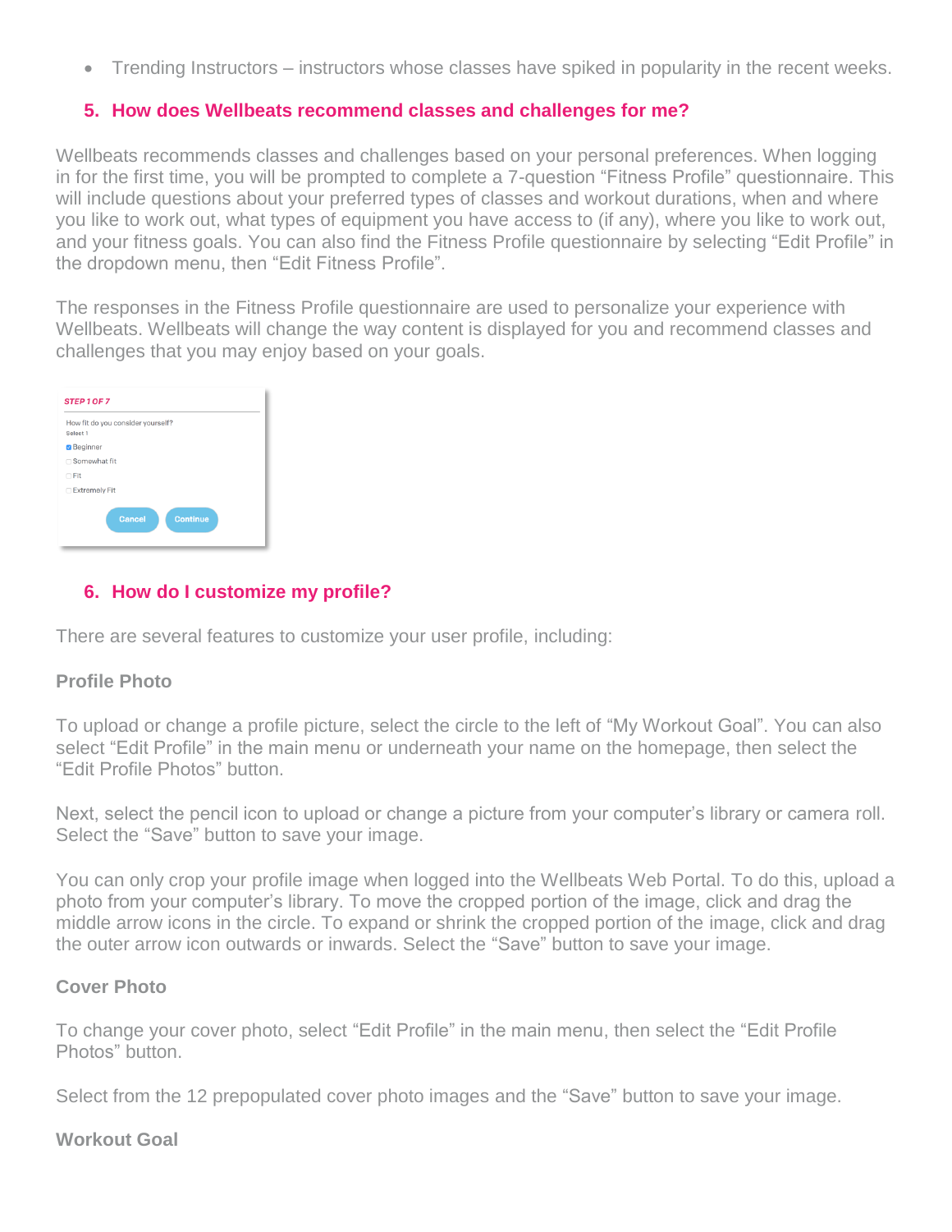Trending Instructors – instructors whose classes have spiked in popularity in the recent weeks.

### **5. How does Wellbeats recommend classes and challenges for me?**

Wellbeats recommends classes and challenges based on your personal preferences. When logging in for the first time, you will be prompted to complete a 7-question "Fitness Profile" questionnaire. This will include questions about your preferred types of classes and workout durations, when and where you like to work out, what types of equipment you have access to (if any), where you like to work out, and your fitness goals. You can also find the Fitness Profile questionnaire by selecting "Edit Profile" in the dropdown menu, then "Edit Fitness Profile".

The responses in the Fitness Profile questionnaire are used to personalize your experience with Wellbeats. Wellbeats will change the way content is displayed for you and recommend classes and challenges that you may enjoy based on your goals.

| How fit do you consider yourself?<br>Select 1 |  |
|-----------------------------------------------|--|
| <b>Beginner</b>                               |  |
| □ Somewhat fit                                |  |
| $\cap$ Fit                                    |  |
| □ Extremely Fit                               |  |

## **6. How do I customize my profile?**

There are several features to customize your user profile, including:

#### **Profile Photo**

To upload or change a profile picture, select the circle to the left of "My Workout Goal". You can also select "Edit Profile" in the main menu or underneath your name on the homepage, then select the "Edit Profile Photos" button.

Next, select the pencil icon to upload or change a picture from your computer's library or camera roll. Select the "Save" button to save your image.

You can only crop your profile image when logged into the Wellbeats Web Portal. To do this, upload a photo from your computer's library. To move the cropped portion of the image, click and drag the middle arrow icons in the circle. To expand or shrink the cropped portion of the image, click and drag the outer arrow icon outwards or inwards. Select the "Save" button to save your image.

#### **Cover Photo**

To change your cover photo, select "Edit Profile" in the main menu, then select the "Edit Profile Photos" button.

Select from the 12 prepopulated cover photo images and the "Save" button to save your image.

#### **Workout Goal**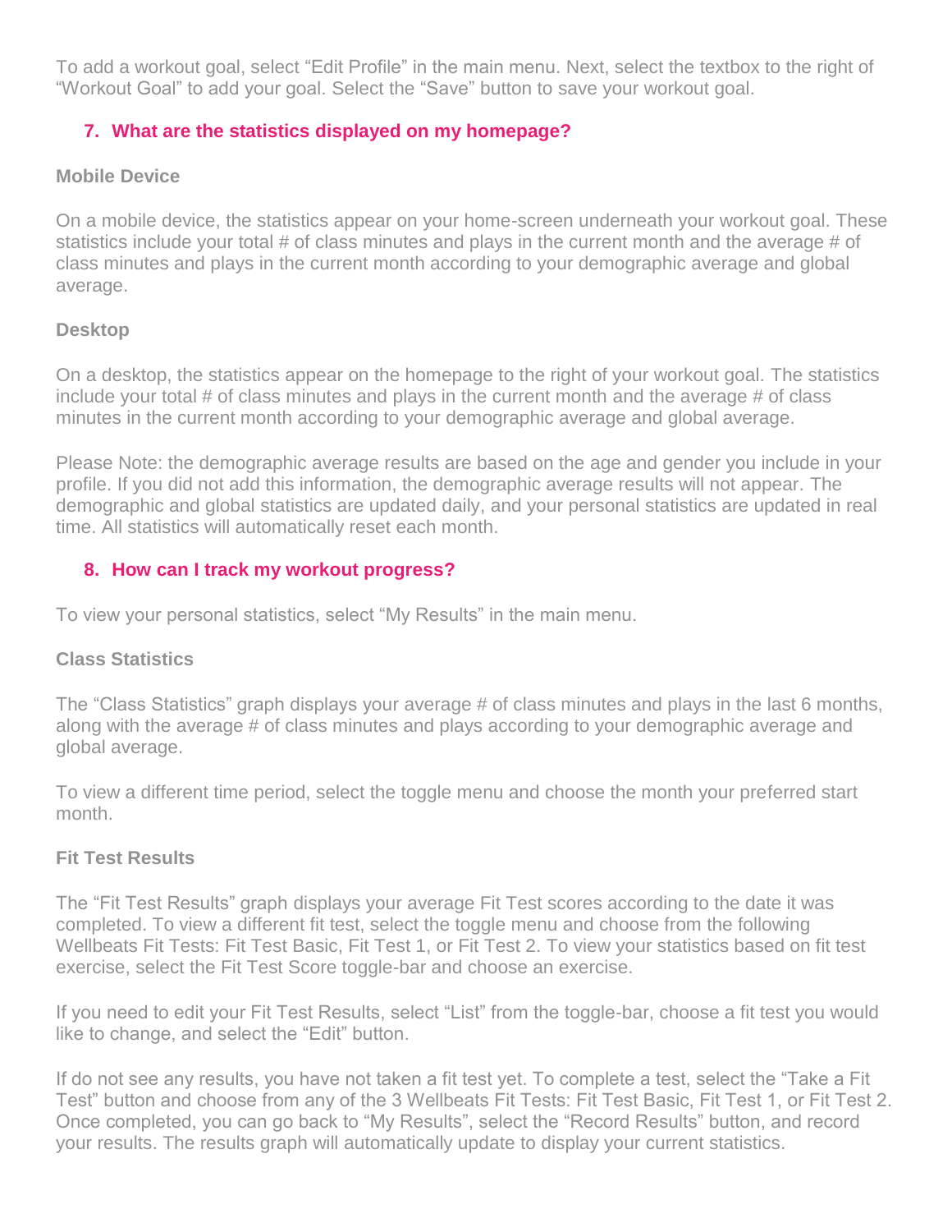To add a workout goal, select "Edit Profile" in the main menu. Next, select the textbox to the right of "Workout Goal" to add your goal. Select the "Save" button to save your workout goal.

## **7. What are the statistics displayed on my homepage?**

### **Mobile Device**

On a mobile device, the statistics appear on your home-screen underneath your workout goal. These statistics include your total # of class minutes and plays in the current month and the average # of class minutes and plays in the current month according to your demographic average and global average.

### **Desktop**

On a desktop, the statistics appear on the homepage to the right of your workout goal. The statistics include your total # of class minutes and plays in the current month and the average # of class minutes in the current month according to your demographic average and global average.

Please Note: the demographic average results are based on the age and gender you include in your profile. If you did not add this information, the demographic average results will not appear. The demographic and global statistics are updated daily, and your personal statistics are updated in real time. All statistics will automatically reset each month.

## **8. How can I track my workout progress?**

To view your personal statistics, select "My Results" in the main menu.

## **Class Statistics**

The "Class Statistics" graph displays your average # of class minutes and plays in the last 6 months, along with the average # of class minutes and plays according to your demographic average and global average.

To view a different time period, select the toggle menu and choose the month your preferred start month.

## **Fit Test Results**

The "Fit Test Results" graph displays your average Fit Test scores according to the date it was completed. To view a different fit test, select the toggle menu and choose from the following Wellbeats Fit Tests: Fit Test Basic, Fit Test 1, or Fit Test 2. To view your statistics based on fit test exercise, select the Fit Test Score toggle-bar and choose an exercise.

If you need to edit your Fit Test Results, select "List" from the toggle-bar, choose a fit test you would like to change, and select the "Edit" button.

If do not see any results, you have not taken a fit test yet. To complete a test, select the "Take a Fit Test" button and choose from any of the 3 Wellbeats Fit Tests: Fit Test Basic, Fit Test 1, or Fit Test 2. Once completed, you can go back to "My Results", select the "Record Results" button, and record your results. The results graph will automatically update to display your current statistics.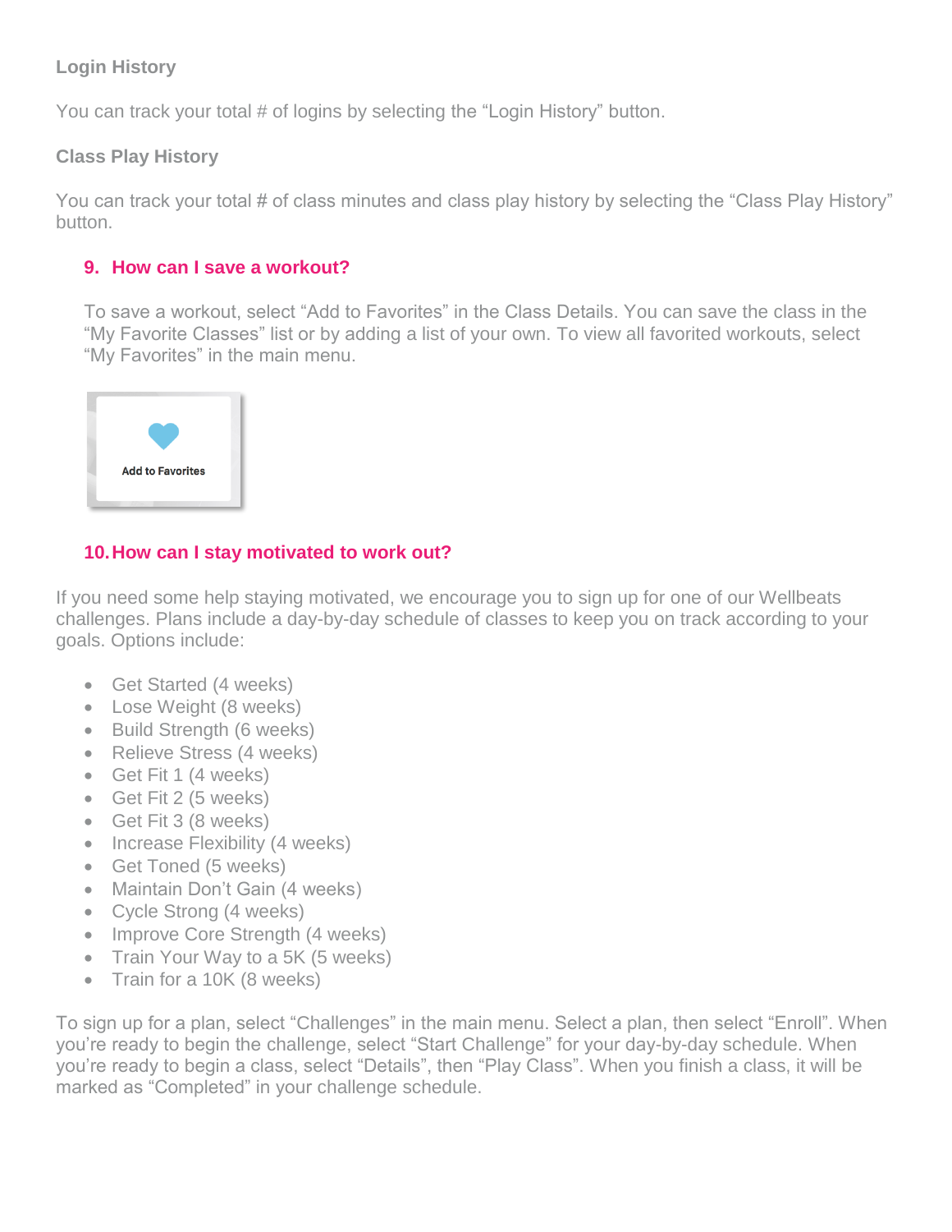# **Login History**

You can track your total # of logins by selecting the "Login History" button.

## **Class Play History**

You can track your total # of class minutes and class play history by selecting the "Class Play History" button.

## **9. How can I save a workout?**

To save a workout, select "Add to Favorites" in the Class Details. You can save the class in the "My Favorite Classes" list or by adding a list of your own. To view all favorited workouts, select "My Favorites" in the main menu.



# **10.How can I stay motivated to work out?**

If you need some help staying motivated, we encourage you to sign up for one of our Wellbeats challenges. Plans include a day-by-day schedule of classes to keep you on track according to your goals. Options include:

- Get Started (4 weeks)
- Lose Weight (8 weeks)
- Build Strength (6 weeks)
- Relieve Stress (4 weeks)
- Get Fit 1 (4 weeks)
- Get Fit 2 (5 weeks)
- Get Fit 3 (8 weeks)
- Increase Flexibility (4 weeks)
- Get Toned (5 weeks)
- Maintain Don't Gain (4 weeks)
- Cycle Strong (4 weeks)
- Improve Core Strength (4 weeks)
- Train Your Way to a 5K (5 weeks)
- Train for a 10K (8 weeks)

To sign up for a plan, select "Challenges" in the main menu. Select a plan, then select "Enroll". When you're ready to begin the challenge, select "Start Challenge" for your day-by-day schedule. When you're ready to begin a class, select "Details", then "Play Class". When you finish a class, it will be marked as "Completed" in your challenge schedule.